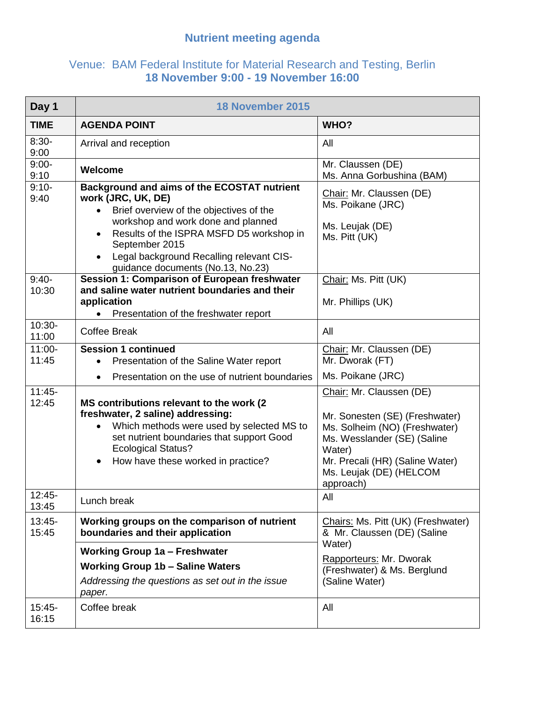## **Nutrient meeting agenda**

## Venue: BAM Federal Institute for Material Research and Testing, Berlin **18 November 9:00 - 19 November 16:00**

| Day 1              | 18 November 2015                                                                                                                                                                                                                                                                                                      |                                                                                                                                                                                                                 |
|--------------------|-----------------------------------------------------------------------------------------------------------------------------------------------------------------------------------------------------------------------------------------------------------------------------------------------------------------------|-----------------------------------------------------------------------------------------------------------------------------------------------------------------------------------------------------------------|
| <b>TIME</b>        | <b>AGENDA POINT</b>                                                                                                                                                                                                                                                                                                   | WHO?                                                                                                                                                                                                            |
| $8:30-$<br>9:00    | Arrival and reception                                                                                                                                                                                                                                                                                                 | All                                                                                                                                                                                                             |
| $9:00-$<br>9:10    | Welcome                                                                                                                                                                                                                                                                                                               | Mr. Claussen (DE)<br>Ms. Anna Gorbushina (BAM)                                                                                                                                                                  |
| $9:10-$<br>9:40    | <b>Background and aims of the ECOSTAT nutrient</b><br>work (JRC, UK, DE)<br>Brief overview of the objectives of the<br>$\bullet$<br>workshop and work done and planned<br>Results of the ISPRA MSFD D5 workshop in<br>September 2015<br>Legal background Recalling relevant CIS-<br>guidance documents (No.13, No.23) | Chair: Mr. Claussen (DE)<br>Ms. Poikane (JRC)<br>Ms. Leujak (DE)<br>Ms. Pitt (UK)                                                                                                                               |
| $9:40-$<br>10:30   | Session 1: Comparison of European freshwater<br>and saline water nutrient boundaries and their<br>application<br>Presentation of the freshwater report                                                                                                                                                                | Chair: Ms. Pitt (UK)<br>Mr. Phillips (UK)                                                                                                                                                                       |
| 10:30-<br>11:00    | <b>Coffee Break</b>                                                                                                                                                                                                                                                                                                   | All                                                                                                                                                                                                             |
| $11:00 -$<br>11:45 | <b>Session 1 continued</b><br>Presentation of the Saline Water report<br>Presentation on the use of nutrient boundaries<br>$\bullet$                                                                                                                                                                                  | Chair: Mr. Claussen (DE)<br>Mr. Dworak (FT)<br>Ms. Poikane (JRC)                                                                                                                                                |
| $11:45-$<br>12:45  | MS contributions relevant to the work (2)<br>freshwater, 2 saline) addressing:<br>Which methods were used by selected MS to<br>$\bullet$<br>set nutrient boundaries that support Good<br><b>Ecological Status?</b><br>How have these worked in practice?                                                              | Chair: Mr. Claussen (DE)<br>Mr. Sonesten (SE) (Freshwater)<br>Ms. Solheim (NO) (Freshwater)<br>Ms. Wesslander (SE) (Saline<br>Water)<br>Mr. Precali (HR) (Saline Water)<br>Ms. Leujak (DE) (HELCOM<br>approach) |
| 12:45-<br>13:45    | Lunch break                                                                                                                                                                                                                                                                                                           | All                                                                                                                                                                                                             |
| $13:45-$<br>15:45  | Working groups on the comparison of nutrient<br>boundaries and their application                                                                                                                                                                                                                                      | Chairs: Ms. Pitt (UK) (Freshwater)<br>& Mr. Claussen (DE) (Saline                                                                                                                                               |
|                    | <b>Working Group 1a - Freshwater</b><br><b>Working Group 1b - Saline Waters</b><br>Addressing the questions as set out in the issue<br>paper.                                                                                                                                                                         | Water)<br>Rapporteurs: Mr. Dworak<br>(Freshwater) & Ms. Berglund<br>(Saline Water)                                                                                                                              |
| $15:45-$<br>16:15  | Coffee break                                                                                                                                                                                                                                                                                                          | All                                                                                                                                                                                                             |